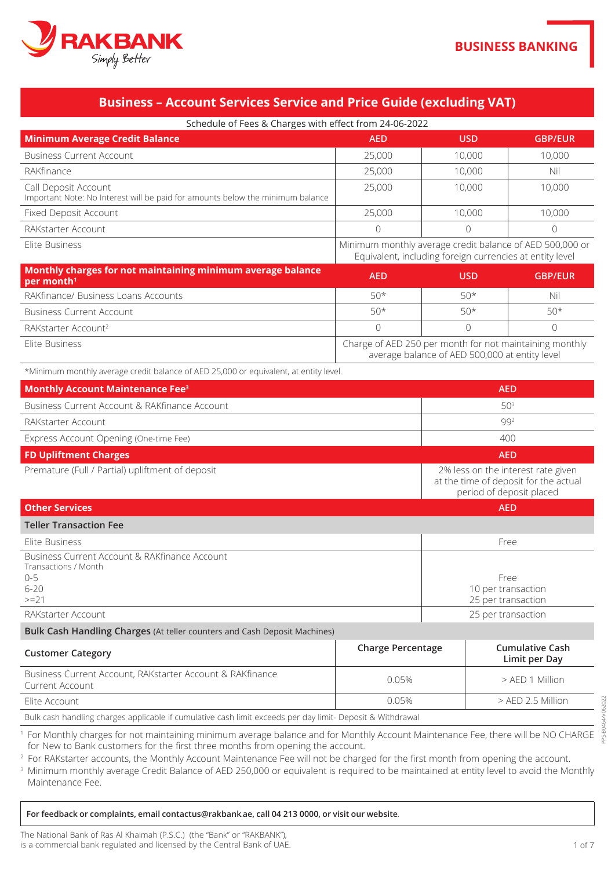

# **Business - Account Services Service and Price Guide (excluding VAT)**

Schedule of Eees & Charges with effect from 24-06-2022

| SCITC QUIC OF FCCS OF CHAFGES WILLI CHECK HOTH Z+ 00-Z022                                              |                                                                                                                      |            |                |
|--------------------------------------------------------------------------------------------------------|----------------------------------------------------------------------------------------------------------------------|------------|----------------|
| <b>Minimum Average Credit Balance</b>                                                                  | <b>AED</b>                                                                                                           | <b>USD</b> | <b>GBP/EUR</b> |
| <b>Business Current Account</b>                                                                        | 25,000                                                                                                               | 10,000     | 10,000         |
| RAKfinance                                                                                             | 25,000                                                                                                               | 10,000     | Nil            |
| Call Deposit Account<br>Important Note: No Interest will be paid for amounts below the minimum balance | 25,000                                                                                                               | 10,000     | 10,000         |
| Fixed Deposit Account                                                                                  | 25,000                                                                                                               | 10,000     | 10,000         |
| RAKstarter Account                                                                                     | $\Omega$                                                                                                             | $\Omega$   |                |
| Elite Business                                                                                         | Minimum monthly average credit balance of AED 500,000 or<br>Equivalent, including foreign currencies at entity level |            |                |
| Monthly charges for not maintaining minimum average balance<br>per month <sup>1</sup>                  | <b>AED</b>                                                                                                           | <b>USD</b> | <b>GBP/EUR</b> |
| RAKfinance/ Business Loans Accounts                                                                    | $50*$                                                                                                                | $50*$      | Nil            |
| <b>Business Current Account</b>                                                                        | $50*$                                                                                                                | $50*$      | $50*$          |
| RAKstarter Account <sup>2</sup>                                                                        | $\Omega$                                                                                                             | $\Omega$   |                |

monthly monthly monthly maintaining monthly maintaining monthly monthly monthly charge of AED 250 per month for not maintaining monthly average balance of AED 500,000 at entity level

\*Minimum monthly average credit balance of AED 25,000 or equivalent, at entity level.

| <b>Monthly Account Maintenance Fee</b> <sup>3</sup> | <b>AED</b>                                                                                              |
|-----------------------------------------------------|---------------------------------------------------------------------------------------------------------|
| Business Current Account & RAKfinance Account       | 50 <sup>3</sup>                                                                                         |
| RAKstarter Account                                  | 992                                                                                                     |
| Express Account Opening (One-time Fee)              | 400                                                                                                     |
| <b>FD Upliftment Charges</b>                        | <b>AED</b>                                                                                              |
| Premature (Full / Partial) upliftment of deposit    | 2% less on the interest rate given<br>at the time of deposit for the actual<br>period of deposit placed |
| <b>Other Services</b>                               | <b>AED</b>                                                                                              |
| <b>Teller Transaction Fee</b>                       |                                                                                                         |
| ロセット ロー・サー・ティー                                      |                                                                                                         |

| Elite Business                                | Free               |
|-----------------------------------------------|--------------------|
| Business Current Account & RAKfinance Account |                    |
| Transactions / Month                          |                    |
| $0 - 5$                                       | Free               |
| $6 - 20$                                      | 10 per transaction |
| $>=21$                                        | 25 per transaction |
| RAKstarter Account                            | 25 per transaction |

**Bulk Cash Handling Charges** (At teller counters and Cash Deposit Machines)

| <b>Customer Category</b>                                                     | <b>Charge Percentage</b> | <b>Cumulative Cash</b><br>Limit per Day |
|------------------------------------------------------------------------------|--------------------------|-----------------------------------------|
| Business Current Account, RAKstarter Account & RAKfinance<br>Current Account | $0.05\%$                 | $>$ AFD 1 Million                       |
| Elite Account                                                                | $0.05\%$                 | $>$ AED 2.5 Million                     |

Bulk cash handling charges applicable if cumulative cash limit exceeds per day limit- Deposit & Withdrawal

<sup>1</sup> For Monthly charges for not maintaining minimum average balance and for Monthly Account Maintenance Fee, there will be NO CHARGE for New to Bank customers for the first three months from opening the account.

<sup>2</sup> For RAKstarter accounts, the Monthly Account Maintenance Fee will not be charged for the first month from opening the account.

<sup>3</sup> Minimum monthly average Credit Balance of AED 250,000 or equivalent is required to be maintained at entity level to avoid the Monthly Maintenance Fee.

.**website our visit or 0000, 213 04 call ,ae**.**rakbank@contactus email ,complaints or feedback For**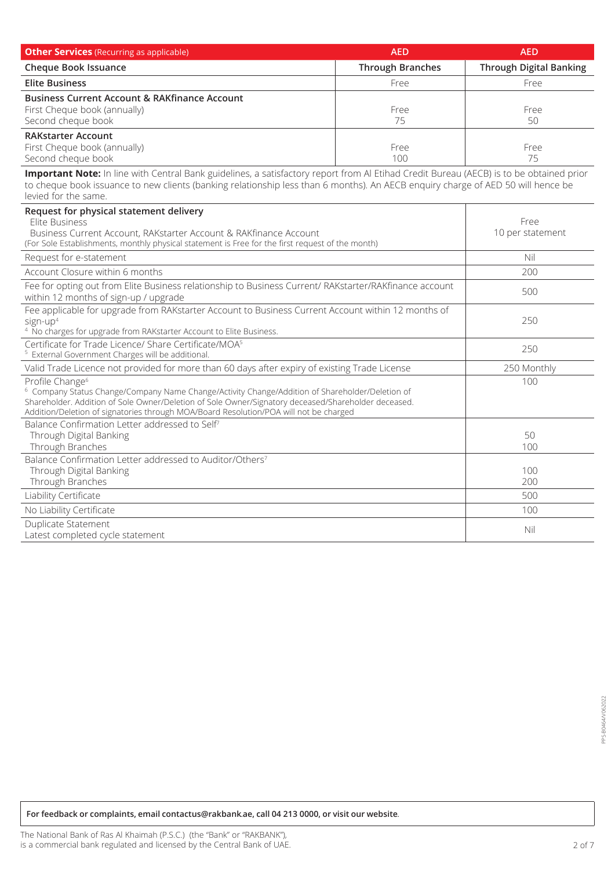| <b>Other Services</b> (Recurring as applicable)                                                                                                                                                                                                                                                                                           | <b>AED</b>              | <b>AED</b>                     |
|-------------------------------------------------------------------------------------------------------------------------------------------------------------------------------------------------------------------------------------------------------------------------------------------------------------------------------------------|-------------------------|--------------------------------|
| <b>Cheque Book Issuance</b>                                                                                                                                                                                                                                                                                                               | <b>Through Branches</b> | <b>Through Digital Banking</b> |
| <b>Elite Business</b>                                                                                                                                                                                                                                                                                                                     | Free                    | Free                           |
| <b>Business Current Account &amp; RAKfinance Account</b><br>First Cheque book (annually)<br>Second cheque book                                                                                                                                                                                                                            | Free<br>75              | Free<br>50                     |
| <b>RAKstarter Account</b><br>First Cheque book (annually)<br>Second cheque book                                                                                                                                                                                                                                                           | Free<br>100             | Free<br>75                     |
| Important Note: In line with Central Bank guidelines, a satisfactory report from AI Etihad Credit Bureau (AECB) is to be obtained prior<br>to cheque book issuance to new clients (banking relationship less than 6 months). An AECB enquiry charge of AED 50 will hence be<br>levied for the same.                                       |                         |                                |
| Request for physical statement delivery<br>Elite Business<br>Business Current Account, RAKstarter Account & RAKfinance Account<br>(For Sole Establishments, monthly physical statement is Free for the first request of the month)                                                                                                        |                         | Free<br>10 per statement       |
| Request for e-statement                                                                                                                                                                                                                                                                                                                   |                         | Nil                            |
| Account Closure within 6 months                                                                                                                                                                                                                                                                                                           |                         | 200                            |
| Fee for opting out from Elite Business relationship to Business Current/ RAKstarter/RAKfinance account<br>within 12 months of sign-up / upgrade                                                                                                                                                                                           |                         | 500                            |
| Fee applicable for upgrade from RAKstarter Account to Business Current Account within 12 months of<br>sign-up <sup>4</sup><br><sup>4</sup> No charges for upgrade from RAKstarter Account to Elite Business.                                                                                                                              |                         | 250                            |
| Certificate for Trade Licence/ Share Certificate/MOA <sup>5</sup><br><sup>5</sup> External Government Charges will be additional.                                                                                                                                                                                                         |                         | 250                            |
| Valid Trade Licence not provided for more than 60 days after expiry of existing Trade License                                                                                                                                                                                                                                             |                         | 250 Monthly                    |
| Profile Change <sup>6</sup><br><sup>6</sup> Company Status Change/Company Name Change/Activity Change/Addition of Shareholder/Deletion of<br>Shareholder. Addition of Sole Owner/Deletion of Sole Owner/Signatory deceased/Shareholder deceased.<br>Addition/Deletion of signatories through MOA/Board Resolution/POA will not be charged |                         | 100                            |
| Balance Confirmation Letter addressed to Self <sup>7</sup><br>Through Digital Banking<br>Through Branches                                                                                                                                                                                                                                 |                         | 50<br>100                      |
| Balance Confirmation Letter addressed to Auditor/Others <sup>7</sup><br>Through Digital Banking<br>Through Branches                                                                                                                                                                                                                       |                         | 100<br>200                     |
| Liability Certificate                                                                                                                                                                                                                                                                                                                     |                         | 500                            |
| No Liability Certificate                                                                                                                                                                                                                                                                                                                  |                         | 100                            |
| <b>Duplicate Statement</b><br>Latest completed cycle statement                                                                                                                                                                                                                                                                            |                         | Nil                            |

 $For feedback or complaints, email contactsorakbankae, call 04 213 0000, or visit our website.$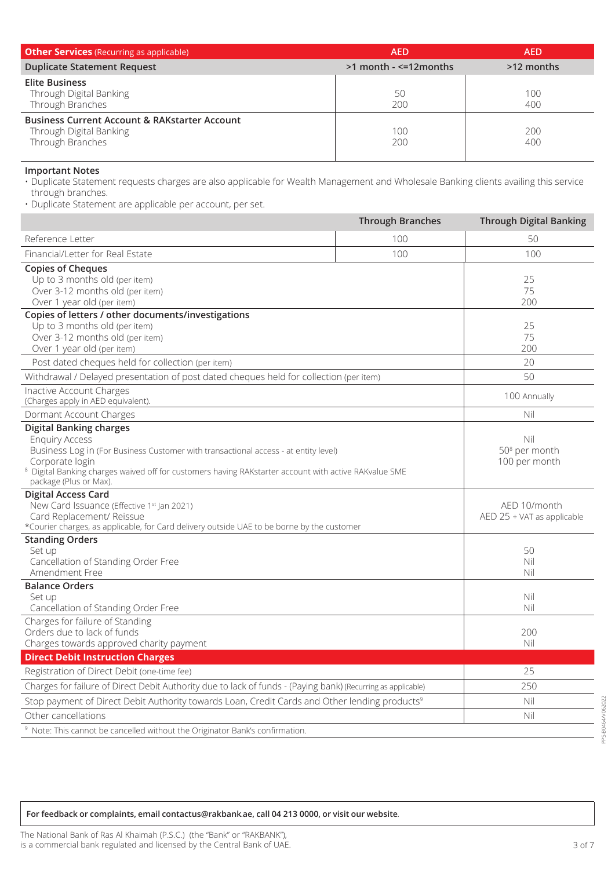| <b>Other Services</b> (Recurring as applicable)                                                         | <b>AED</b>                    | AED        |
|---------------------------------------------------------------------------------------------------------|-------------------------------|------------|
| <b>Duplicate Statement Request</b>                                                                      | $>1$ month - $\leq$ =12months | >12 months |
| <b>Elite Business</b><br>Through Digital Banking<br>Through Branches                                    | 50<br>200                     | 100<br>400 |
| <b>Business Current Account &amp; RAKstarter Account</b><br>Through Digital Banking<br>Through Branches | 100<br>200                    | 200<br>400 |

#### **Important Notes**

service this availing the services this areals are also applicable for Wealth Management and Wholesale Banking clients availing this service through branches.

. Duplicate Statement are applicable per account, per set.

|                                                                                                                                                                                                                                                                                                                 | <b>Through Branches</b> | <b>Through Digital Banking</b>                    |
|-----------------------------------------------------------------------------------------------------------------------------------------------------------------------------------------------------------------------------------------------------------------------------------------------------------------|-------------------------|---------------------------------------------------|
| Reference Letter                                                                                                                                                                                                                                                                                                | 100                     | 50                                                |
| Financial/Letter for Real Estate                                                                                                                                                                                                                                                                                | 100                     | 100                                               |
| <b>Copies of Cheques</b><br>Up to 3 months old (per item)<br>Over 3-12 months old (per item)<br>Over 1 year old (per item)                                                                                                                                                                                      |                         | 25<br>75<br>200                                   |
| Copies of letters / other documents/investigations<br>Up to 3 months old (per item)<br>Over 3-12 months old (per item)<br>Over 1 year old (per item)                                                                                                                                                            |                         | 25<br>75<br>200                                   |
| Post dated cheques held for collection (per item)                                                                                                                                                                                                                                                               |                         | 20                                                |
| Withdrawal / Delayed presentation of post dated cheques held for collection (per item)                                                                                                                                                                                                                          |                         | 50                                                |
| Inactive Account Charges<br>(Charges apply in AED equivalent).                                                                                                                                                                                                                                                  |                         | 100 Annually                                      |
| Dormant Account Charges                                                                                                                                                                                                                                                                                         |                         | Nil                                               |
| <b>Digital Banking charges</b><br><b>Enquiry Access</b><br>Business Log in (For Business Customer with transactional access - at entity level)<br>Corporate login<br><sup>8</sup> Digital Banking charges waived off for customers having RAKstarter account with active RAKvalue SME<br>package (Plus or Max). |                         | Nil<br>50 <sup>8</sup> per month<br>100 per month |
| <b>Digital Access Card</b><br>New Card Issuance (Effective 1st Jan 2021)<br>Card Replacement/ Reissue<br>*Courier charges, as applicable, for Card delivery outside UAE to be borne by the customer                                                                                                             |                         | AED 10/month<br>AED 25 + VAT as applicable        |
| <b>Standing Orders</b><br>Set up<br>Cancellation of Standing Order Free<br>Amendment Free                                                                                                                                                                                                                       |                         | 50<br>Nil<br>Nil                                  |
| <b>Balance Orders</b><br>Set up<br>Cancellation of Standing Order Free                                                                                                                                                                                                                                          |                         | Nil<br>Nil                                        |
| Charges for failure of Standing<br>Orders due to lack of funds<br>Charges towards approved charity payment                                                                                                                                                                                                      |                         | 200<br>Nil                                        |
| <b>Direct Debit Instruction Charges</b>                                                                                                                                                                                                                                                                         |                         |                                                   |
| Registration of Direct Debit (one-time fee)                                                                                                                                                                                                                                                                     |                         | 25                                                |
| Charges for failure of Direct Debit Authority due to lack of funds - (Paying bank) (Recurring as applicable)                                                                                                                                                                                                    |                         | 250                                               |
| Stop payment of Direct Debit Authority towards Loan, Credit Cards and Other lending products <sup>9</sup>                                                                                                                                                                                                       |                         | Nil                                               |
| Other cancellations                                                                                                                                                                                                                                                                                             |                         | Nil                                               |
| <sup>9</sup> Note: This cannot be cancelled without the Originator Bank's confirmation.                                                                                                                                                                                                                         |                         |                                                   |

 $For feedback or complaints, email contactscrakbankae, call 04 213 0000, or visit our website.$ 

PPS-B0464/V062022

PPS-B0464/V062022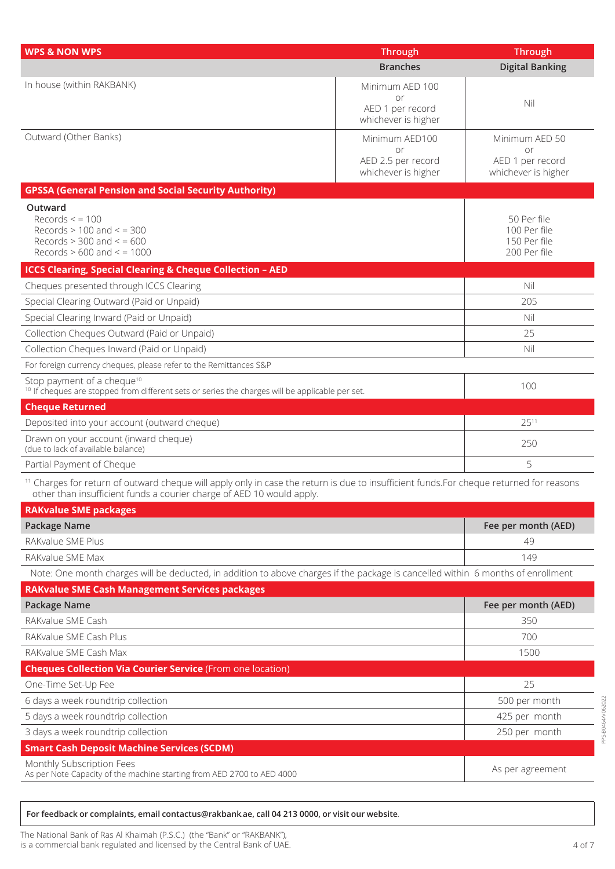| <b>WPS &amp; NON WPS</b>                                                                                                                                                                                                     | <b>Through</b>           | <b>Through</b>              |
|------------------------------------------------------------------------------------------------------------------------------------------------------------------------------------------------------------------------------|--------------------------|-----------------------------|
|                                                                                                                                                                                                                              | <b>Branches</b>          | <b>Digital Banking</b>      |
| In house (within RAKBANK)                                                                                                                                                                                                    | Minimum AED 100          |                             |
|                                                                                                                                                                                                                              | or<br>AED 1 per record   | Nil                         |
|                                                                                                                                                                                                                              | whichever is higher      |                             |
| Outward (Other Banks)                                                                                                                                                                                                        | Minimum AED100           | Minimum AED 50              |
|                                                                                                                                                                                                                              | or<br>AED 2.5 per record | or<br>AED 1 per record      |
|                                                                                                                                                                                                                              | whichever is higher      | whichever is higher         |
| <b>GPSSA (General Pension and Social Security Authority)</b>                                                                                                                                                                 |                          |                             |
| Outward                                                                                                                                                                                                                      |                          |                             |
| Records < 100<br>Records $> 100$ and $<$ = 300                                                                                                                                                                               |                          | 50 Per file<br>100 Per file |
| Records $> 300$ and $< 600$                                                                                                                                                                                                  |                          | 150 Per file                |
| Records $> 600$ and $< 1000$                                                                                                                                                                                                 |                          | 200 Per file                |
| <b>ICCS Clearing, Special Clearing &amp; Cheque Collection - AED</b>                                                                                                                                                         |                          |                             |
| Cheques presented through ICCS Clearing                                                                                                                                                                                      |                          | Nil                         |
| Special Clearing Outward (Paid or Unpaid)                                                                                                                                                                                    |                          | 205                         |
| Special Clearing Inward (Paid or Unpaid)                                                                                                                                                                                     |                          | Nil                         |
| Collection Cheques Outward (Paid or Unpaid)                                                                                                                                                                                  |                          | 25                          |
| Collection Cheques Inward (Paid or Unpaid)                                                                                                                                                                                   |                          | Nil                         |
| For foreign currency cheques, please refer to the Remittances S&P                                                                                                                                                            |                          |                             |
| Stop payment of a cheque <sup>10</sup><br><sup>10</sup> If cheques are stopped from different sets or series the charges will be applicable per set.                                                                         |                          | 100                         |
| <b>Cheque Returned</b>                                                                                                                                                                                                       |                          |                             |
| Deposited into your account (outward cheque)                                                                                                                                                                                 |                          | 2511                        |
| Drawn on your account (inward cheque)<br>(due to lack of available balance)                                                                                                                                                  |                          | 250                         |
| Partial Payment of Cheque                                                                                                                                                                                                    |                          | 5                           |
| <sup>11</sup> Charges for return of outward cheque will apply only in case the return is due to insufficient funds. For cheque returned for reasons<br>other than insufficient funds a courier charge of AED 10 would apply. |                          |                             |
| <b>RAKvalue SME packages</b>                                                                                                                                                                                                 |                          |                             |
| Package Name                                                                                                                                                                                                                 |                          | Fee per month (AED)         |
| RAKvalue SME Plus                                                                                                                                                                                                            |                          | 49                          |
| RAKvalue SME Max                                                                                                                                                                                                             |                          | 149                         |
| Note: One month charges will be deducted, in addition to above charges if the package is cancelled within 6 months of enrollment                                                                                             |                          |                             |
| <b>RAKvalue SME Cash Management Services packages</b>                                                                                                                                                                        |                          |                             |
| Package Name                                                                                                                                                                                                                 |                          | Fee per month (AED)         |
| RAKvalue SME Cash                                                                                                                                                                                                            |                          | 350                         |
| RAKvalue SME Cash Plus                                                                                                                                                                                                       |                          | 700                         |
| RAKvalue SME Cash Max                                                                                                                                                                                                        |                          | 1500                        |
| <b>Cheques Collection Via Courier Service (From one location)</b>                                                                                                                                                            |                          |                             |
| One-Time Set-Up Fee                                                                                                                                                                                                          |                          | 25                          |
| 6 days a week roundtrip collection                                                                                                                                                                                           |                          | 500 per month               |
| 5 days a week roundtrip collection                                                                                                                                                                                           |                          | 425 per month               |
| 3 days a week roundtrip collection                                                                                                                                                                                           |                          | 250 per month               |
| <b>Smart Cash Deposit Machine Services (SCDM)</b>                                                                                                                                                                            |                          |                             |
| Monthly Subscription Fees<br>As per Note Capacity of the machine starting from AED 2700 to AED 4000                                                                                                                          |                          | As per agreement            |

 $For feedback or complaints, email contactsorakbankae, call 04 213 0000, or visit our website.$ 

PPS-B0464/V062022

PPS-B0464/V062022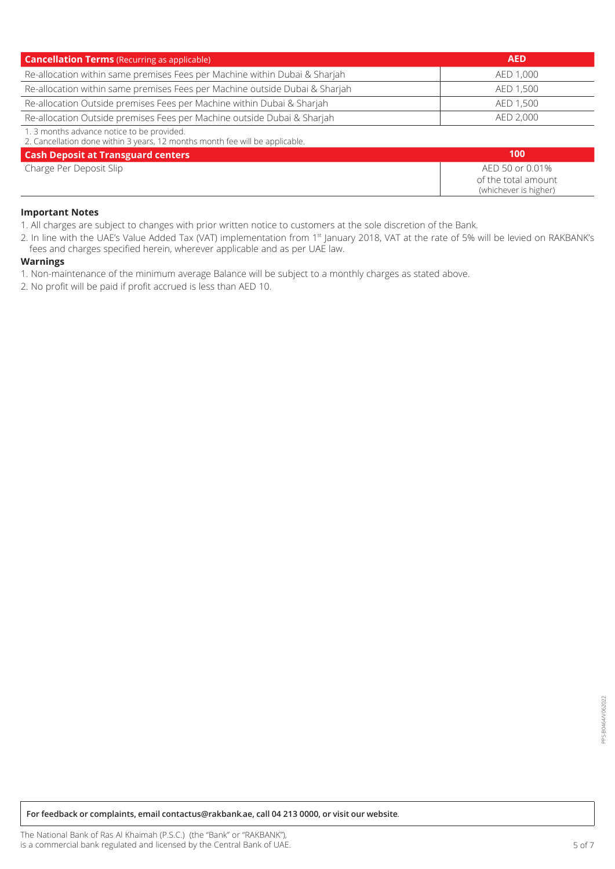| <b>Cancellation Terms</b> (Recurring as applicable)                                                                                                                                                                             | <b>AED</b> |
|---------------------------------------------------------------------------------------------------------------------------------------------------------------------------------------------------------------------------------|------------|
| Re-allocation within same premises Fees per Machine within Dubai & Sharjah                                                                                                                                                      | AED 1.000  |
| Re-allocation within same premises Fees per Machine outside Dubai & Sharjah                                                                                                                                                     | AED 1.500  |
| Re-allocation Outside premises Fees per Machine within Dubai & Sharjah                                                                                                                                                          | AED 1.500  |
| Re-allocation Outside premises Fees per Machine outside Dubai & Sharjah                                                                                                                                                         | AED 2.000  |
| $\sim$ . The contract of the contract of the contract of the contract of the contract of the contract of the contract of the contract of the contract of the contract of the contract of the contract of the contract of the co |            |

1. 3 months advance notice to be provided.<br>2. Cancellation done within 3 years 12 mon 12 months month fee will be annlicable

| 2. Caricellation done within 3 years, its months month ree will be applicable. |                                                                 |
|--------------------------------------------------------------------------------|-----------------------------------------------------------------|
| <b>Cash Deposit at Transguard centers</b>                                      | 100                                                             |
| Charge Per Deposit Slip                                                        | AED 50 or 0.01%<br>of the total amount<br>(whichever is higher) |

#### **Important Notes**

1. All charges are subject to changes with prior written notice to customers at the sole discretion of the Bank.

2. In line with the UAE's Value Added Tax (VAT) implementation from 1<sup>st</sup> January 2018, VAT at the rate of 5% will be levied on RAKBANK's fees and charges specified herein, wherever applicable and as per UAE law.

## **Warnings**

1. Non-maintenance of the minimum average Balance will be subject to a monthly charges as stated above.

2. No profit will be paid if profit accrued is less than AED 10.

*for feedback or complaints, email contactus@rakbank.ae, call 04 213 0000, or visit our website.*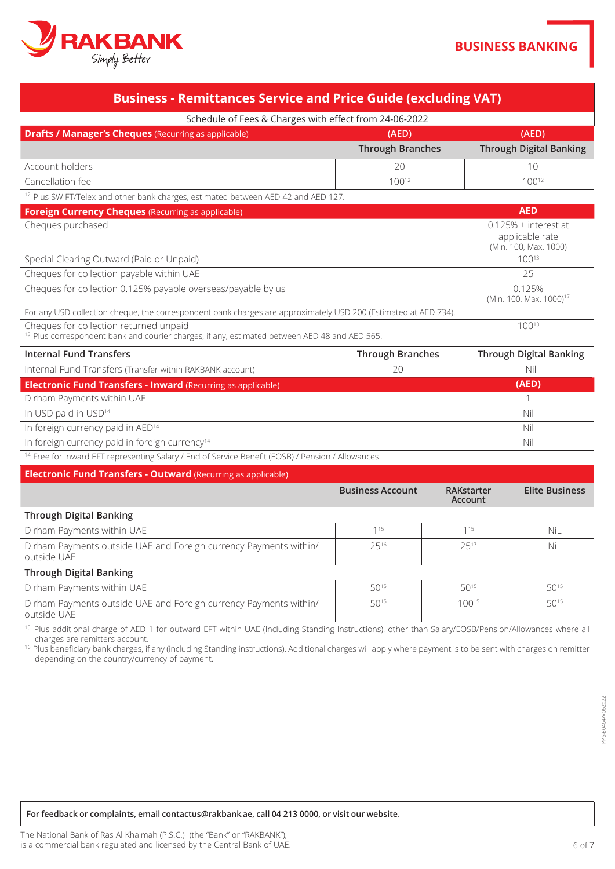

| <b>Business - Remittances Service and Price Guide (excluding VAT)</b>                                                                                           |                         |                              |                                                                    |
|-----------------------------------------------------------------------------------------------------------------------------------------------------------------|-------------------------|------------------------------|--------------------------------------------------------------------|
| Schedule of Fees & Charges with effect from 24-06-2022                                                                                                          |                         |                              |                                                                    |
| <b>Drafts / Manager's Cheques</b> (Recurring as applicable)                                                                                                     | (AED)                   |                              | (AED)                                                              |
|                                                                                                                                                                 | <b>Through Branches</b> |                              | <b>Through Digital Banking</b>                                     |
| Account holders                                                                                                                                                 | 20                      |                              | 10                                                                 |
| Cancellation fee                                                                                                                                                | $100^{12}$              |                              | 10012                                                              |
| <sup>12</sup> Plus SWIFT/Telex and other bank charges, estimated between AED 42 and AED 127.                                                                    |                         |                              |                                                                    |
| <b>Foreign Currency Cheques (Recurring as applicable)</b>                                                                                                       |                         |                              | <b>AED</b>                                                         |
| Cheques purchased                                                                                                                                               |                         |                              | $0.125%$ + interest at<br>applicable rate<br>(Min. 100, Max. 1000) |
| Special Clearing Outward (Paid or Unpaid)                                                                                                                       |                         |                              | 10013                                                              |
| Cheques for collection payable within UAE                                                                                                                       |                         |                              | 25                                                                 |
| Cheques for collection 0.125% payable overseas/payable by us                                                                                                    |                         |                              | 0.125%<br>(Min. 100, Max. 1000) <sup>17</sup>                      |
| For any USD collection cheque, the correspondent bank charges are approximately USD 200 (Estimated at AED 734).                                                 |                         |                              |                                                                    |
| Cheques for collection returned unpaid<br><sup>13</sup> Plus correspondent bank and courier charges, if any, estimated between AED 48 and AED 565.              |                         |                              | 10013                                                              |
| <b>Internal Fund Transfers</b>                                                                                                                                  | <b>Through Branches</b> |                              | <b>Through Digital Banking</b>                                     |
| Internal Fund Transfers (Transfer within RAKBANK account)                                                                                                       | 20                      |                              | Nil                                                                |
| <b>Electronic Fund Transfers - Inward (Recurring as applicable)</b>                                                                                             |                         |                              | (AED)                                                              |
| Dirham Payments within UAE                                                                                                                                      |                         |                              | 1                                                                  |
| In USD paid in USD <sup>14</sup>                                                                                                                                |                         |                              | Nil                                                                |
| In foreign currency paid in AED <sup>14</sup>                                                                                                                   |                         |                              | Nil                                                                |
| In foreign currency paid in foreign currency <sup>14</sup>                                                                                                      |                         |                              | Nil                                                                |
| <sup>14</sup> Free for inward EFT representing Salary / End of Service Benefit (EOSB) / Pension / Allowances.                                                   |                         |                              |                                                                    |
| <b>Electronic Fund Transfers - Outward (Recurring as applicable)</b>                                                                                            |                         |                              |                                                                    |
|                                                                                                                                                                 | <b>Business Account</b> | <b>RAKstarter</b><br>Account | <b>Elite Business</b>                                              |
| <b>Through Digital Banking</b>                                                                                                                                  |                         |                              |                                                                    |
| Dirham Payments within UAE                                                                                                                                      | 115                     | 115                          | NiL                                                                |
| Dirham Payments outside UAE and Foreign currency Payments within/<br>outside UAE                                                                                | 2516                    | 2517                         | NiL                                                                |
| <b>Through Digital Banking</b>                                                                                                                                  |                         |                              |                                                                    |
| Dirham Payments within UAE                                                                                                                                      | 5015                    | 5015                         | $50^{15}$                                                          |
| Dirham Payments outside UAE and Foreign currency Payments within/<br>outside UAE                                                                                | 5015                    | 10015                        | 5015                                                               |
| <sup>15</sup> Plus additional charge of AED 1 for outward EFT within UAE (Including Standing Instructions), other than Salary/EOSB/Pension/Allowances where all |                         |                              |                                                                    |

tharges are remitters account.<br><sup>16</sup> Plus beneficiary bank charges, if any (including Standing instructions). Additional charges will apply where payment is to be sent with charges on remitter depending on the country/currency of payment.

#### *for feedback or complaints, email contactus@rakbank.ae, call 04 213 0000, or visit our website.*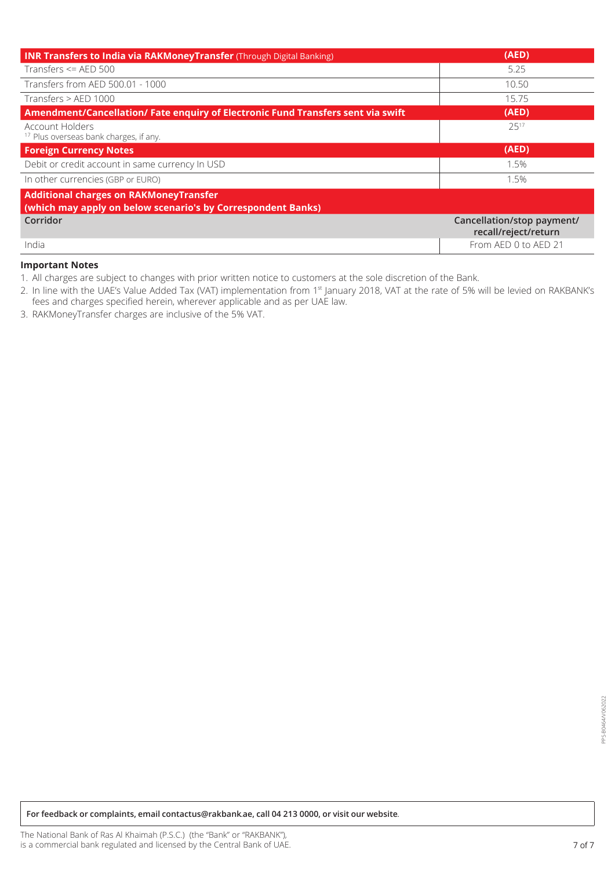| <b>INR Transfers to India via RAKMoneyTransfer</b> (Through Digital Banking)                                  | (AED)                                              |
|---------------------------------------------------------------------------------------------------------------|----------------------------------------------------|
| Transfers $\leq$ AED 500                                                                                      | 5.25                                               |
| Transfers from AED 500.01 - 1000                                                                              | 10.50                                              |
| Transfers > AED 1000                                                                                          | 15.75                                              |
| Amendment/Cancellation/ Fate enquiry of Electronic Fund Transfers sent via swift                              | (AED)                                              |
| <b>Account Holders</b><br><sup>17</sup> Plus overseas bank charges, if any.                                   | 2517                                               |
| <b>Foreign Currency Notes</b>                                                                                 | (AED)                                              |
| Debit or credit account in same currency In USD                                                               | 1.5%                                               |
| In other currencies (GBP or EURO)                                                                             | 1.5%                                               |
| <b>Additional charges on RAKMoneyTransfer</b><br>(which may apply on below scenario's by Correspondent Banks) |                                                    |
| Corridor                                                                                                      | Cancellation/stop payment/<br>recall/reject/return |
| India                                                                                                         | From AED 0 to AED 21                               |

## **Important Notes**

1. All charges are subject to changes with prior written notice to customers at the sole discretion of the Bank.

2. In line with the UAE's Value Added Tax (VAT) implementation from 1st January 2018, VAT at the rate of 5% will be levied on RAKBANK's fees and charges specified herein, wherever applicable and as per UAE law.

3. RAKMoneyTransfer charges are inclusive of the 5% VAT.

*for feedback or complaints, email contactus@rakbank.ae, call 04 213 0000, or visit our website.*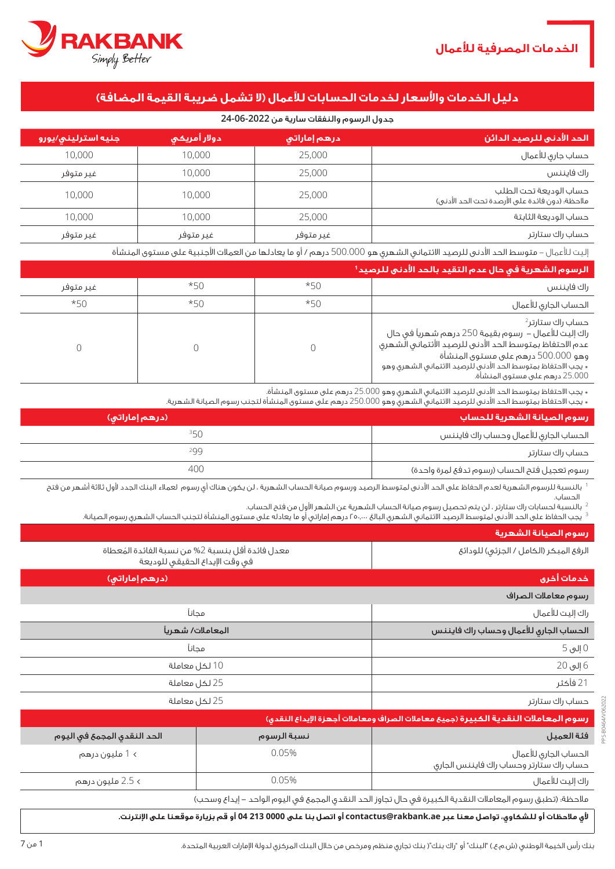PPS-B0464/V062022

PS-B0464/V062022



# **دليل الخدمات واألسعار لخدمات الحسابات لآلعمال )ال تشمل ضريبة القيمة المضافة(**

## جدول الرسوم والنفقات سارية من **24-06-2022**

| الحد الأدنى للرصيد الدائن                                                 | <sub>ا</sub> درهم إماراتي ا | دولار أمريكى | ا جنيه استرليني/يورو <sub>ا</sub> |
|---------------------------------------------------------------------------|-----------------------------|--------------|-----------------------------------|
| حساب جاري للأعمال                                                         | 25,000                      | 10,000       | 10,000                            |
| راك فايننس                                                                | 25,000                      | 10.000       | غير متوفر                         |
| حساب الوديعة تحت الطلب<br>ملاحظة؛ (دون فائدة على الأرصدة تحت الحد الأدنى) | 25,000                      | 10,000       | 10,000                            |
| حساب الوديعة الثابتة                                                      | 25,000                      | 10,000       | 10,000                            |
| حساب راك ستارتر                                                           | غير متوفر                   | غير متوفر    | غير متوفر                         |

إليت لألعمال - متوسط الحد األدنى للرصيد االئتماني الشهري هو 500.000 درهم / أو ما يعادلها من العمالت األجنبية على مستوى المنشأة

| الرسوم الشهرية في حال عدم التقيد بالحد الأدني للرصيد'                                                                                                                                                                                                                                    |       |       |           |
|------------------------------------------------------------------------------------------------------------------------------------------------------------------------------------------------------------------------------------------------------------------------------------------|-------|-------|-----------|
| راك فايننس                                                                                                                                                                                                                                                                               | $*50$ | $*50$ | غير متوفر |
| الحساب الجارى للأعمال                                                                                                                                                                                                                                                                    | $*50$ | $*50$ | $*50$     |
| حساب راك ستارتر <sup>2</sup><br>راك إليت للأعمال – رسوم بقيمة 250 درهم شهرياً في حال<br>عدم الاحتفاظ بمتوسط الحد الأدنى للرصيد الأئتمانى الشهرى<br>وهو 500.000 درهم على مستوى المنشأة<br>٭ يجب الاحتفاظ بمتوسط الحد الأدنى للرصيد الائتمانى الشهرى وهو<br>25.000 درهم على مستوى المنشأة. |       |       |           |

\* يجب االحتفاظ بمتوسط الحد األدنى للرصيد االئتماني الشهري وهو 25.000 درهم على مستوى المنشأة.

\* يجب الاحتفاظ بمتوسط الحد الأدني للرصيد الائتماني الشهري وهو 250.000 درهم على مستوى المنشأة لتجنب رسوم الصيانة الشهرية.

| رسوم الصيانة الشهرية للحساب ا                | (درهم إماراتی) |
|----------------------------------------------|----------------|
| الحساب الجارى للأعمال وحساب راك فايننس       | 350            |
| حساب راك ستارتر                              | 299            |
| رسوم تعجيل فتح الحساب (رسوم تدفع لمرة واحدة) | 400            |
|                                              |                |

بالنسبة للرسوم الشهرية لعدم الحفاظ على الحد الأدنى لمتوسط الرصيد ورسوم صيانة الحساب الشهرية ، لن يكون هناك أي رسوم لعملاء البنك الجدد لأول ثلاثة أشهر من فتح الحساب.

<sup>2</sup> بالنسبة لحسابات راك ستارتر ، لن يتم تحصيل رسوم صيانة الحساب الشهرية عن الشهر األول من فتح الحساب.

|  | ُ يجب الحفاظ على الحد الأدنى لمتوسط الرصيد الائتماني الشهري البالغ ٢٥،٠٠٠ درهم إماراتي أو ما يعادله على مستوى المنشأة لتجنب الحساب الشهري رسوم الصيانة. |
|--|---------------------------------------------------------------------------------------------------------------------------------------------------------|
|  |                                                                                                                                                         |
|  |                                                                                                                                                         |
|  |                                                                                                                                                         |
|  |                                                                                                                                                         |

|                                                                                                            |                   | رسوم الصيانة الشهرية                                                               |
|------------------------------------------------------------------------------------------------------------|-------------------|------------------------------------------------------------------------------------|
| معدل فائدة أقل بنسبة 2% من نسبة الفائدة المُعطاة<br>فى وقت الإيداع الحقيقى للوديعة                         |                   | الرفع المبكر (الكامل / الجزئى) للودائع                                             |
| (درهم إماراتی)                                                                                             |                   | خدمات أخرى                                                                         |
|                                                                                                            |                   | رسوم معاملات الصراف                                                                |
|                                                                                                            | مجانآ             | راك إليت للأعمال                                                                   |
|                                                                                                            | المعاملات/ شهرياً | الحساب الجارى للأعمال وحساب راك فايننس                                             |
|                                                                                                            | مجانآ             | $5 \,$ إلى $0$                                                                     |
|                                                                                                            | 10 لكل معاملة     | 6 إلى 20                                                                           |
| 25 لكل معاملة                                                                                              |                   | 21 فأكثر                                                                           |
|                                                                                                            | 25 لكل معاملة     | حساب راك ستارتر                                                                    |
|                                                                                                            |                   | رسوم المعاملات النقدية الكبيرة (جميع معاملات الصراف ومعاملات أجهزة الإيداع النقدي) |
| الحد النقدى المجمع فى اليوم                                                                                | نسبة الرسوم       | فئة العميل                                                                         |
| > 1 مليون درهم                                                                                             | 0.05%             | الحساب الجارى للأعمال<br>حساب راك ستارتر وحساب راك فايننس الجارق                   |
| > 2.5 مليون درهم                                                                                           | 0.05%             | راك إليت للأعمال                                                                   |
| ملاحظة؛ (تطبق رسوم المعاملات النقدية الكبيرة في حال تجاوز الحد النقدي المجمع في اليوم الواحد – إيداع وسحب) |                   |                                                                                    |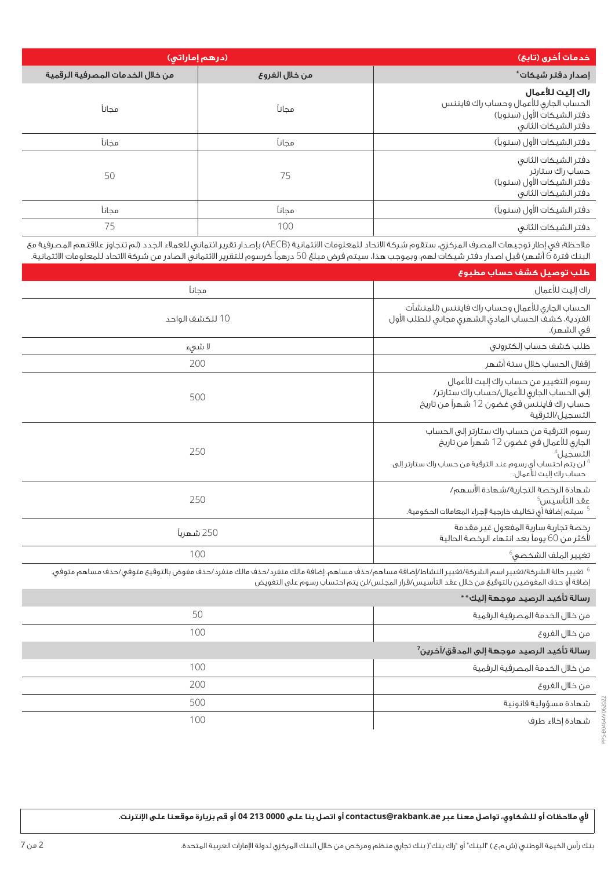| (درهم إماراتي)                   |                | خدمات أخرى (تابع)                                                                                               |
|----------------------------------|----------------|-----------------------------------------------------------------------------------------------------------------|
| من خلال الخدمات المصرفية الرقمية | من خلال الفروع | إصدار دفتر شيكات*                                                                                               |
| مجانآ                            | مجانآ          | راك إليت للأعمال<br>الحساب الجاري للأعمال وحساب راك فايننس<br>دفتر الشيكات الأول (سنويا)<br>دفتر الشيكات الثانى |
| مجانآ                            | مجانآ          | دفتر الشيكات الأول (سنوياً)                                                                                     |
| 50                               | 75             | دفتر الشيكات الثانى<br>حساب راك ستارتر<br>دفتر الشيكات الأول (سنويا)<br>دفتر الشيكات الثانى                     |
| محانآ                            | محانآ          | دفتر الشيكات الأول (سنوياً)                                                                                     |
| 75                               | 100            | دفتر الشيكات الثانى                                                                                             |

مالحظة: في إطار توجيهات المصرف المركزي، ستقوم شركة االتحاد للمعلومات االئتمانية )AECB )بإصدار تقرير ائتماني للعمالء الجدد )لم تتجاوز عالقتهم المصرفية مع البنك فترة 6 أشهر) قبل اصدار دفتر شيكات لهم. وبموجب هذا، سيتم فرض مبلغ 50 درهماً كرسوم للتقرير الائتماني الصادر من شركة الاتحاد للمعلومات الائتمانية.

| طلب توصيل كشف حساب مطبوع                                                                                                                                                                                      |                 |
|---------------------------------------------------------------------------------------------------------------------------------------------------------------------------------------------------------------|-----------------|
| راك إليت للأعمال                                                                                                                                                                                              | مجانآ           |
| الحساب الجارى للأعمال وحساب راك فايننس (للمنشآت<br>الفردية، كشف الحساب المادق الشهرى مجانى للطلب الأول<br>في الشهر).                                                                                          | 10 للكشف الواحد |
| طلب كشف حساب إلكترونى                                                                                                                                                                                         | لا شىء          |
| إقفال الحساب خلال ستة أشهر                                                                                                                                                                                    | 200             |
| رسوم التغيير من حساب راك إليت للأعمال<br>إلى الحساب الجارى للأعمال/حساب راك ستارتر/<br>حساب راك فايننس فى غضون 12 شهراً من تاريخ<br>التسجيل ⁄الترقية                                                          | 500             |
| رسوم الترقية من حساب راك ستارتر إلى الحساب<br>الجاري للأعمال في غضون 12 شهراً من تاريخ<br>التسجيل <sup>4</sup><br>لن يتم احتساب أي رسوم عند الترقية من حساب راك ستارتر إلى $^{\,4}$<br>حساب راك إليت للأعمال. | 250             |
| شهادة الرخصة التجارية/شهادة الأسهم/<br>عقد التأسيس <sup>5</sup><br><sup>5</sup> سيتم إضافة أى تكاليف خارجية لإجراء المعاملات الحكومية.                                                                        | 250             |
| رخصة تجارية سارية المفعول غير مقدمة<br>لأكثر من 60 يوماً بعد انتهاء الرخصة الحالية                                                                                                                            | 250 شهريآ       |
| تغيير الملف الشخصو، <sup>6</sup>                                                                                                                                                                              | 100             |

تغيير حالة الشركة/تغيير اسم الشركة/تغيير النشاط/إضافة مساهم/حذف مساهم. إضافة مالك منفرد/حذف مالك منفرد/حذف مفوض بالتوقيع متوفي/حذف مساهم متوفي. إضافة أو حذف المفوضين بالتوقيع من خالل عقد التأسيس/قرار المجلس/لن يتم احتساب رسوم على التفويض

### رسالة تأكيد الرصيد موجهة إليك\*\*

| من خلال الخدمة المصرفية الرقمية                        | 50  |
|--------------------------------------------------------|-----|
| من خلال الغروع                                         | 100 |
| رسالة تأكيد الرصيد موجهة إلى المدقق/آخرين <sup>7</sup> |     |
| من خلال الخدمة المصرفية الرقمية                        | 100 |
| من خلال الغروع                                         | 200 |
| شهادة مسؤولية قانونية                                  | 500 |
| شهادة إخلاء طرف                                        | 100 |
|                                                        |     |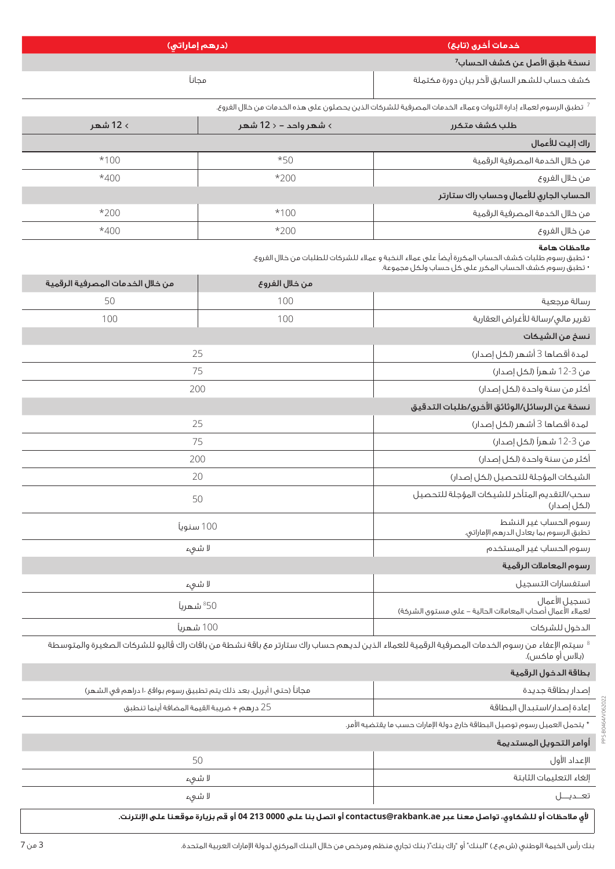|          | (درهم إماراتی)        | أخدمات أخرى (تابع)                                                                                            |
|----------|-----------------------|---------------------------------------------------------------------------------------------------------------|
|          |                       | نسخة طبق الأصل عن كشف الحساب <sup>7</sup>                                                                     |
|          | مجانآ                 | كشف حساب للشهر السابق لآخر بيان دورة مكتملة                                                                   |
|          |                       | تطبق الرسوم لعملاء إدارة الثروات وعملاء الخدمات المصرفية للشركات الذين يحصلون على هذه الخدمات من خلال الفروع. |
| > 12 شهر | > شهر واحد – < 12 شهر | طلب كشف متكرر                                                                                                 |
|          |                       | راك إليت للأعمال                                                                                              |
| $*100$   | $*50$                 | من خلال الخدمة المصرفية الرقمية                                                                               |

| من خلال الغروع                         | $*200$ | $*400$ |
|----------------------------------------|--------|--------|
| الحساب الجارى للأعمال وحساب راك ستارتر |        |        |
| من خلال الخدمة المصرفية الرقمية        | $*100$ | $*200$ |
| من خلال الغروع                         | $*200$ | $*400$ |

# **مالحظات هامة**

• تطبق رسوم طلبات كشف الحساب المكررة أيضًا على عمالء النخبة و عمالء للشركات للطلبات من خالل الفروع.

• تطبق رسوم كشف الحساب المكرر على كل حساب ولكل مجموعة.

| من خلال الخدمات المصرفية الرقمية                                                                                          | من خلال الفروع                                                                                                                                                      |                                                                             |  |
|---------------------------------------------------------------------------------------------------------------------------|---------------------------------------------------------------------------------------------------------------------------------------------------------------------|-----------------------------------------------------------------------------|--|
| 50                                                                                                                        | 100                                                                                                                                                                 | رسالة مرجعية                                                                |  |
| 100                                                                                                                       | 100                                                                                                                                                                 | تقرير مالى/رسالة للأغراض العقارية                                           |  |
|                                                                                                                           |                                                                                                                                                                     | نسخ من الشيكات                                                              |  |
| 25                                                                                                                        |                                                                                                                                                                     | لمدة أقصاها 3 أشهر (لكل إصدار)                                              |  |
| 75                                                                                                                        |                                                                                                                                                                     | من 3-12 شهراً (لكل إصدار)                                                   |  |
| 200                                                                                                                       |                                                                                                                                                                     | أكثر من سنة واحدة (لكل إصدار)                                               |  |
|                                                                                                                           |                                                                                                                                                                     | نسخة عن الرسائل/الوثائق الأخرى/طلبات التدقيق                                |  |
| 25                                                                                                                        |                                                                                                                                                                     | لمدة أقصاها 3 أشهر (لكل إصدار)                                              |  |
| 75                                                                                                                        |                                                                                                                                                                     | من 3-12 شهراً (لكل إصدار)                                                   |  |
| 200                                                                                                                       |                                                                                                                                                                     | أكثر من سنة واحدة (لكل إصدار)                                               |  |
| 20                                                                                                                        |                                                                                                                                                                     | الشيكات المؤجلة للتحصيل (لكل إصدار)                                         |  |
| 50                                                                                                                        |                                                                                                                                                                     | سحب/التقديم المتأخر للشيكات المؤجلة للتحصيل<br>(لكل إصدار)                  |  |
| 100 سنوياً                                                                                                                |                                                                                                                                                                     | رسوم الحساب غير النشط<br>تطبق الرسوم بما يعادل الدرهم الإماراتي.            |  |
| لا شىء                                                                                                                    |                                                                                                                                                                     | رسوم الحساب غير المستخدم                                                    |  |
|                                                                                                                           |                                                                                                                                                                     | رسوم المعاملات الرقمية                                                      |  |
| لا شىء                                                                                                                    |                                                                                                                                                                     | استغسارات التسجيل                                                           |  |
| <sup>850</sup> شهرياً                                                                                                     |                                                                                                                                                                     | تسجيل الأعمال<br>لعملاء الأعمال أصحاب المعاملات الحالية – على مستوى الشركة) |  |
| 100 شهرياً                                                                                                                |                                                                                                                                                                     | الدخول للشركات                                                              |  |
|                                                                                                                           | $^8$ سيتم الإعفاء من رسوم الخدمات المصرفية الرقمية للعملاء الذين لديهم حساب راك ستارتر مع باقة نشطة من باقات راك ڤاليو للشركات الصغيرة والمتوسطة<br>(بلاس أو ماكس). |                                                                             |  |
|                                                                                                                           |                                                                                                                                                                     | بطاقة الدخول الرقمية                                                        |  |
| مجاناً (حتى ١ أبريل، بعد ذلك يتم تطبيق رسوم بواقع ١٠ دراهم فى الشهر)                                                      |                                                                                                                                                                     | إصدار بطاقة جديدة                                                           |  |
|                                                                                                                           | 25 درهم + ضريبة القيمة المضافة أينما تنطبق                                                                                                                          |                                                                             |  |
|                                                                                                                           | * يتحمل العميل رسوم توصيل البطاقة خارج دولة الإمارات حسب ما يقتضيه الأمر.                                                                                           |                                                                             |  |
|                                                                                                                           |                                                                                                                                                                     | أوامر التحويل المستديمة                                                     |  |
| 50                                                                                                                        |                                                                                                                                                                     | الإعداد الأول                                                               |  |
| لا شىء                                                                                                                    |                                                                                                                                                                     | إلغاء التعليمات الثابتة                                                     |  |
| لا شىء                                                                                                                    |                                                                                                                                                                     | تعــديـــل                                                                  |  |
| لأي ملاحظات أو لـلشكاوي، تواصل معنا عبر contactus@rakbank.ae أو اتصل بنا على 0000 13 04 أو قم بزيارة موقعنا على الإنترنت. |                                                                                                                                                                     |                                                                             |  |

بنك رأس الخيمة الوطني (ش.م.ع.) "البنك" أو "راك بنك"( بنك تجاري منظم ومرخص من خالل البنك المركزي لدولة الإمارات العربية المتحدة.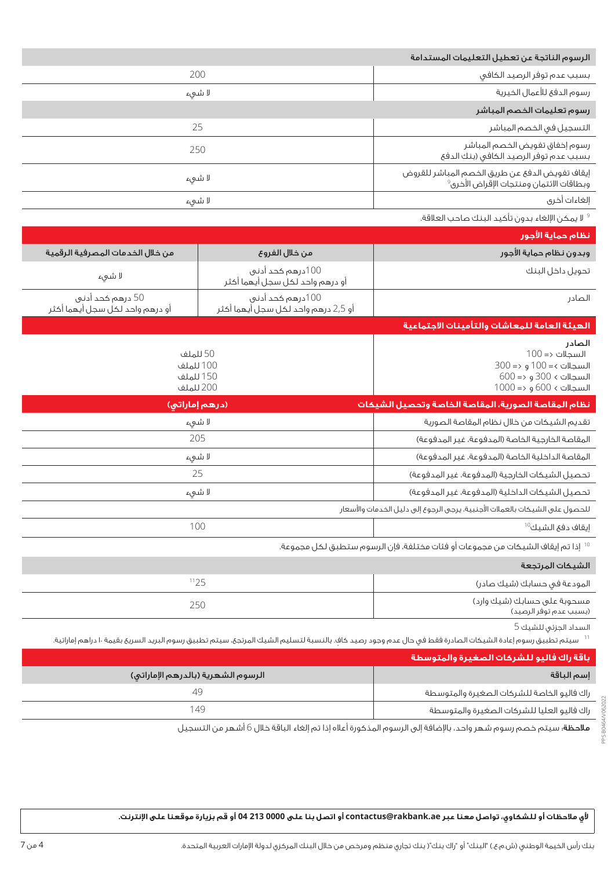| الرسوم الناتجة عن تعطيل التعليمات المستدامة                                                                  |        |
|--------------------------------------------------------------------------------------------------------------|--------|
| بسبب عدم توفر الرصيد الكافى                                                                                  | 200    |
| رسوم الدفع للأعمال الخيرية                                                                                   | لا شىء |
| رسوم تعليمات الخصم المباشر                                                                                   |        |
| التسجيل فى الخصم المباشر                                                                                     | 25     |
| رسوم إخفاق تغويض الخصم المباشر<br>بسبب عدم توفر الرصيد الكافى (بنك الدفع                                     | 250    |
| إيقاف تفويض الدفع عن طريق الخصم المباشر للقروض<br>ء.<br>وبطاقات الائتمان ومنتجات الإقراض الأخرى <sup>ف</sup> | لا شىء |
| إلغاءات أخرى                                                                                                 | لا شىء |
| لا يمكن الإلغاء بدون تأكيد البنك صاحب العلاقة. $^9$                                                          |        |

| نظام حماية الأجور                                                                                                                                                            |                                                               |                                                     |
|------------------------------------------------------------------------------------------------------------------------------------------------------------------------------|---------------------------------------------------------------|-----------------------------------------------------|
| وبدون نظام حماية الأجور                                                                                                                                                      | من خلال الفروع<br>من خلال الخدمات المصرفية الرقمية            |                                                     |
| تحويل داخل البنك                                                                                                                                                             | 100درهم كحد أدني<br>لا شىء<br>أو درهم واحد لكل سجل أيهما أكثر |                                                     |
| الصادر                                                                                                                                                                       | 100درهم كحد أدني<br>أو 2,5 درهم واحد لكل سجل أيهما أكثر       | 50 درهم كحد أدني<br>أو درهم واحد لكل سجل أيهما أكثر |
| الهيئة العامة للمعاشات والتأمينات الاجتماعية                                                                                                                                 |                                                               |                                                     |
| الصادر<br>$100 \Rightarrow$ السجلات <=<br>$300 \Rightarrow 100 = 5$ السجلات >= 100<br>$600 \Rightarrow 300 \times 100$ و <= 600<br>$1000 = \epsilon$ السجلات > 600 و <= 1000 | 50 للملف<br>100 للملف<br>150 للملف<br>200 للملف               |                                                     |
| نظام المقاصة الصورية، المقاصة الخاصة وتحصيل الشيكات                                                                                                                          | (درهم إماراتی)                                                |                                                     |
| تقديم الشيكات من خلال نظام المقاصة الصورية                                                                                                                                   | لا شىء                                                        |                                                     |
| المقاصة الخارجية الخاصة (المدفوعة، غير المدفوعة)                                                                                                                             | 205                                                           |                                                     |
| المقاصة الداخلية الخاصة (المدفوعة، غير المدفوعة)                                                                                                                             | لا شىء                                                        |                                                     |
| تحصيل الشيكات الخارجية (المدفوعة، غير المدفوعة)                                                                                                                              | 25                                                            |                                                     |
| تحصيل الشيكات الداخلية (المدفوعة، غير المدفوعة)                                                                                                                              | لا شىء                                                        |                                                     |
| للحصول على الشيكات بالعملات الأجنبية، يرجى الرجوع إلى دليل الخدمات والأسعار                                                                                                  |                                                               |                                                     |
| إيقاف دفع الشيك <sup>10</sup>                                                                                                                                                | 100                                                           |                                                     |
| $^{\rm 0}$ إذا تم إيقاف الشيكات من مجموعات أو فئات مختلفة، فإن الرسوم ستطبق لكل مجموعة.                                                                                      |                                                               |                                                     |
| الشيكات المرتجعة                                                                                                                                                             |                                                               |                                                     |
| المودعة فى حسابك (شيك صادر)                                                                                                                                                  | 1125                                                          |                                                     |

|     | المودعة فى حسابك (شيك صادر)                           |
|-----|-------------------------------------------------------|
| 250 | مسحوبة على حسابك (شيك وارد)<br>(بسبب عدم توفر الرصيد) |

السداد الجزئي للشيك 5

<sup>11</sup> سيتم تطبيق رسوم إعادة الشيكات الصادرة فقط في حال عدم وجود رصيد كاف. بالنسبة لتسليم الشيك المرتجع، سيتم تطبيق رسوم البريد السريع بقيمة ١٠ دراهم إماراتية.

|                                    | أرباقة راك فاليو للشركات الصغيرة والمتوسطة ا |
|------------------------------------|----------------------------------------------|
| الرسوم الشهرية (بالدرهم الإماراتي) | إسم الباقة                                   |
|                                    | راك فاليو الخاصة للشركات الصغيرة والمتوسطة   |
| 149                                | راك فاليو العليا للشركات الصغيرة والمتوسطة   |

مالحظة: سيتم خصم رسوم شهر واحد، باإلضافة إلى الرسوم المذكورة أعاله إذا تم إلغاء الباقة خالل 6 أشهر من التسجيل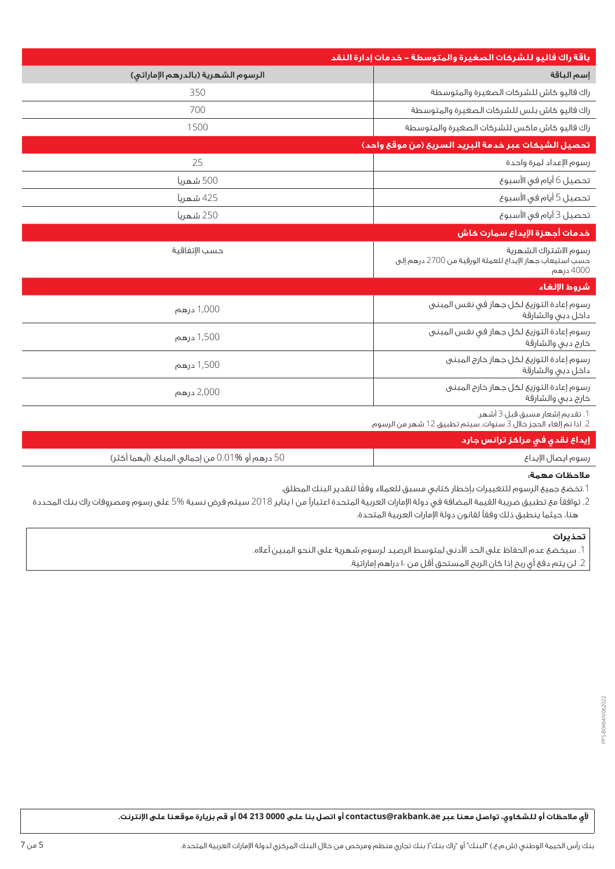|                                    | باقة راك فاليو للشركات الصغيرة والمتوسطة – خدمات إدارة النقد                                        |
|------------------------------------|-----------------------------------------------------------------------------------------------------|
| الرسوم الشهرية (بالدرهم الإماراتي) | إسم الباقة                                                                                          |
| 350                                | راك فاليو كاش للشركات الصغيرة والمتوسطة                                                             |
| 700                                | راك فاليو كاش بلس للشركات الصغيرة والمتوسطة                                                         |
| 1500                               | راك فاليو كاش ماكس للشركات الصغيرة والمتوسطة                                                        |
|                                    | تحصيل الشيكات عبر خدمة البريد السريع (من موقع واحد)                                                 |
| 25                                 | رسوم الإعداد لمرة واحدة                                                                             |
| 500 شهرياً                         | تحصيل 6 أيام فى الأسبوع                                                                             |
| 425 شهريآ                          | تحصيل 5 أيام في الأسبوع                                                                             |
| 250 شهرياً                         | تحصيل 3 أيام في الأسبوع                                                                             |
|                                    | خدمات أجهزة الإيداع سمارت كاش                                                                       |
| حسب الإتفاقية                      | رسوم الاشتراك الشهرية<br>حسب استيعاب جهاز الإيداع للعملة الورقية من 2700 درهم إلى<br>4000 درهم      |
|                                    | شروط الإلغاء                                                                                        |
| 1,000 درهم                         | رسوم إعادة التوزيع لكل جهاز فى نفس المبنى<br>داخل دبى والشارقة                                      |
| 1,500 درهم                         | رسوم إعادة التوزيع لكل جهاز فى نغس المبنى<br>خارج دبى والشارقة                                      |
| 1,500 درهم                         | رسوم إعادة التوزيع لكل جهاز خارج المبنى<br>داخل دبى والشارقة                                        |
| 2,000 درهم                         | رسوم إعادة التوزية لكل جهاز خارج المبنى<br>خارج دبى والشارقة                                        |
|                                    | 1. تقديم إشعار مسبق قبل 3 أشهر.<br>2. اذا تم إلغاء الحجز خلال 3 سنوات، سيتم تطبيق 12 شهر من الرسوم. |

## **إيداع نقدي في مراكز ترانس جارد**

| 50 درهم أو %10.<br>00 من احماله. الميا<br>$4 \times 1$<br>$\mathbf{r}$<br>$  -$ | ، ۱۱۱ ، ۱۱۱ |
|---------------------------------------------------------------------------------|-------------|
|                                                                                 |             |

#### **مالحظات مهمة:**

.1 ً تخضع جميع الرسوم للتغييرات بإخطار كتابي مسبق للعمالء وفقا لتقدير البنك المطلق.

.2 توافقًا مع تطبيق ضريبة القيمة المضافة في دولة اإلمارات العربية المتحدة اعتبارًا من 1 يناير 2018 سيتم فرض نسبة 5% على رسوم ومصروفات راك بنك المحددة هنا، حيثما ينطبق ذلك وفقًا لقانون دولة اإلمارات العربية المتحدة.

## **تحذيرات**

.1 سيخضع عدم الحفاظ على الحد األدنى لمتوسط الرصيد لرسوم شهرية على النحو المبين أعاله.

2. لن يتم دفع أي ربح إذا كان الربح المستحق أقل من ١٠ دراهم إماراتية.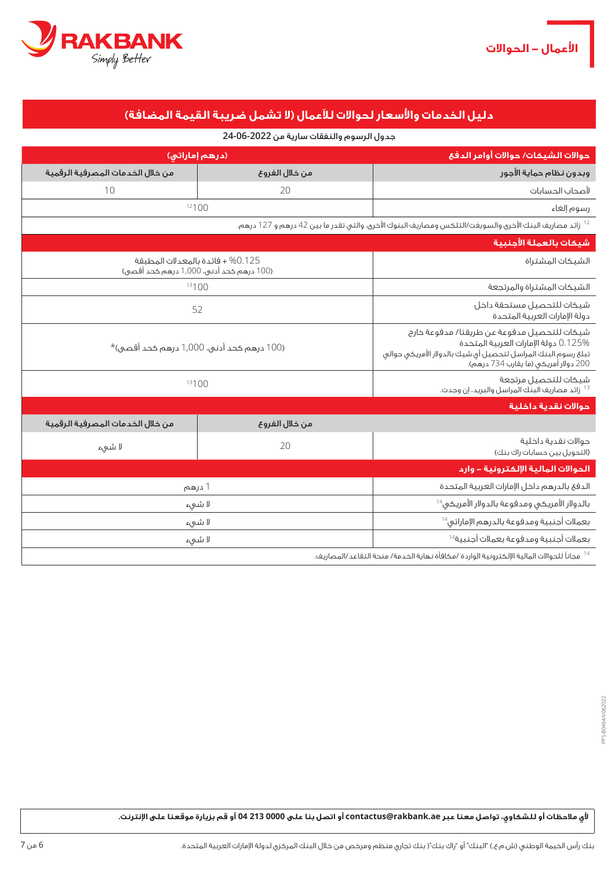

# **دليل الخدمات واألسعار لحواالت لآلعمال )ال تشمل ضريبة القيمة المضافة(**

## جدول الرسوم والنفقات سارية من **24-06-2022**

| (درهم إماراتي)                                                                                       |                  | حوالات الشيكات/ حوالات أوامر الدفع                                                                                                                                                            |
|------------------------------------------------------------------------------------------------------|------------------|-----------------------------------------------------------------------------------------------------------------------------------------------------------------------------------------------|
| من خلال الخدمات المصرفية الرقمية                                                                     | من خلال الفروع   | وبدون نظام حماية الأجور                                                                                                                                                                       |
| 10                                                                                                   | 20               | لأصحاب الحسابات                                                                                                                                                                               |
|                                                                                                      | 12100            | رسوم إلغاء                                                                                                                                                                                    |
|                                                                                                      |                  | <sup>12</sup> زائد مصاريف البنك الأخرى والسويغت/التلكس ومصاريف البنوك الأخرى، والتى تقدر ما بين 42 درهم و 127 درهم.                                                                           |
|                                                                                                      |                  | شيكات بالعملة الأجنبية                                                                                                                                                                        |
| 0.125 + فائدة بالمعدلات المطبقة<br>(100 درهم كحد أدنى، 1,000 درهم كحد أقصى)                          | الشيكات المشتراة |                                                                                                                                                                                               |
|                                                                                                      | 13100            |                                                                                                                                                                                               |
| 52                                                                                                   |                  | شيكات للتحصيل مستحقة داخل<br>دولة الإمارات العربية المتحدة                                                                                                                                    |
| (100 درهم كحد أدنى، 1,000 درهم كحد أقصى)*                                                            |                  | شيكات للتحصيل مدفوعة عن طريقنا/ مدفوعة خارج<br>0.125% دولة الإمارات العربية المتحدة<br>تبلغ رسوم البنك المراسل لتحصيل أى شيك بالدولار الأمريكى حوالى<br>200 دولار أمريكي (ما يقارب 734 درهم). |
| 13100                                                                                                |                  | شيكات للتحصيل مرتجعة<br><sup>13</sup> زائد مصاريف البنك المراسل والبريد، إن وجدت.                                                                                                             |
|                                                                                                      |                  | حوالات نقدية داخلية                                                                                                                                                                           |
| من خلال الخدمات المصرفية الرقمية                                                                     | من خلال الفروع   |                                                                                                                                                                                               |
| لا شىء                                                                                               | 20               | حوالات نقدية داخلية<br>(التحويل بين حسابات راك بنك)                                                                                                                                           |
|                                                                                                      |                  | <u> الحوالات المالية الإلكترونية – وارد</u>                                                                                                                                                   |
| 1 درهم                                                                                               |                  | الدفع بالدرهم داخل الإمارات العربية المتحدة                                                                                                                                                   |
| لا شىء                                                                                               |                  | بالدولار الأمريكى ومدفوعة بالدولار الأمريكى $^{14}$                                                                                                                                           |
| لا شىء                                                                                               |                  | بعملات أجنبية ومدفوعة بالدرهم الإماراتي <sup>14</sup>                                                                                                                                         |
| لا شىء                                                                                               |                  | بعملات أجنبية ومدفوعة بعملات أجنبية <sup>14</sup>                                                                                                                                             |
| مجاناً للحوالات المالية الإلكترونية الواردة /مكافأة نهاية الخدمة/ منحة التقاعد/المصاريف. $^{\rm 14}$ |                  |                                                                                                                                                                                               |